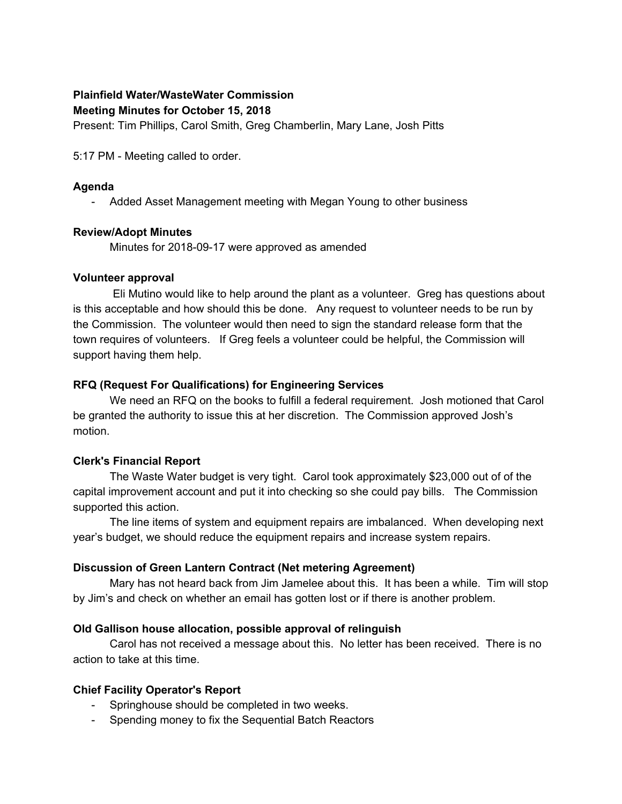# **Plainfield Water/WasteWater Commission**

#### **Meeting Minutes for October 15, 2018**

Present: Tim Phillips, Carol Smith, Greg Chamberlin, Mary Lane, Josh Pitts

5:17 PM - Meeting called to order.

#### **Agenda**

- Added Asset Management meeting with Megan Young to other business

# **Review/Adopt Minutes**

Minutes for 2018-09-17 were approved as amended

#### **Volunteer approval**

Eli Mutino would like to help around the plant as a volunteer. Greg has questions about is this acceptable and how should this be done. Any request to volunteer needs to be run by the Commission. The volunteer would then need to sign the standard release form that the town requires of volunteers. If Greg feels a volunteer could be helpful, the Commission will support having them help.

# **RFQ (Request For Qualifications) for Engineering Services**

We need an RFQ on the books to fulfill a federal requirement. Josh motioned that Carol be granted the authority to issue this at her discretion. The Commission approved Josh's motion.

# **Clerk's Financial Report**

The Waste Water budget is very tight. Carol took approximately \$23,000 out of of the capital improvement account and put it into checking so she could pay bills. The Commission supported this action.

The line items of system and equipment repairs are imbalanced. When developing next year's budget, we should reduce the equipment repairs and increase system repairs.

# **Discussion of Green Lantern Contract (Net metering Agreement)**

Mary has not heard back from Jim Jamelee about this. It has been a while. Tim will stop by Jim's and check on whether an email has gotten lost or if there is another problem.

# **Old Gallison house allocation, possible approval of relinguish**

Carol has not received a message about this. No letter has been received. There is no action to take at this time.

# **Chief Facility Operator's Report**

- Springhouse should be completed in two weeks.
- Spending money to fix the Sequential Batch Reactors